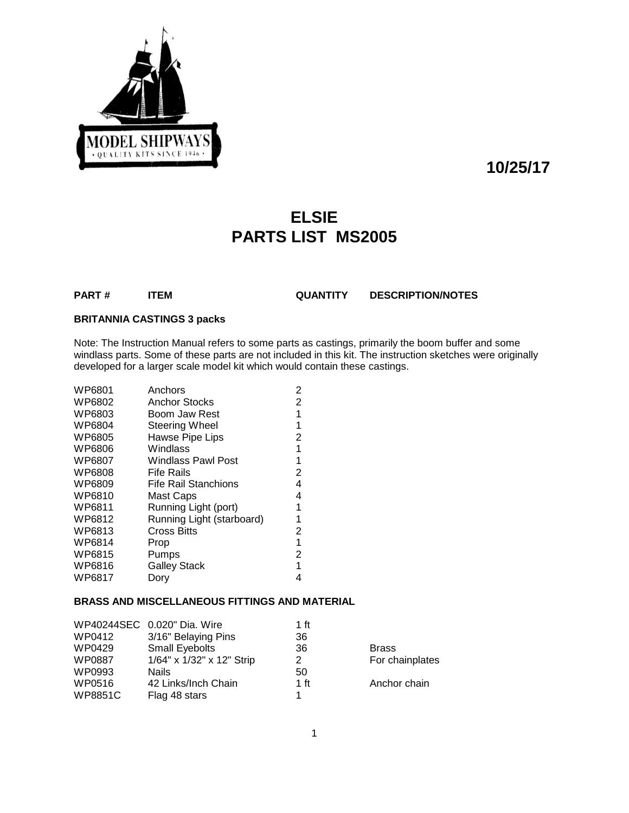

**10/25/17**

# **ELSIE PARTS LIST MS2005**

**PART # ITEM QUANTITY DESCRIPTION/NOTES**

### **BRITANNIA CASTINGS 3 packs**

Note: The Instruction Manual refers to some parts as castings, primarily the boom buffer and some windlass parts. Some of these parts are not included in this kit. The instruction sketches were originally developed for a larger scale model kit which would contain these castings.

| WP6801 | Anchors                   | 2 |
|--------|---------------------------|---|
| WP6802 | <b>Anchor Stocks</b>      | 2 |
| WP6803 | Boom Jaw Rest             | 1 |
| WP6804 | Steering Wheel            | 1 |
| WP6805 | Hawse Pipe Lips           | 2 |
| WP6806 | Windlass                  | 1 |
| WP6807 | Windlass Pawl Post        | 1 |
| WP6808 | <b>Fife Rails</b>         | 2 |
| WP6809 | Fife Rail Stanchions      | 4 |
| WP6810 | Mast Caps                 | 4 |
| WP6811 | Running Light (port)      | 1 |
| WP6812 | Running Light (starboard) | 1 |
| WP6813 | <b>Cross Bitts</b>        | 2 |
| WP6814 | Prop                      | 1 |
| WP6815 | Pumps                     | 2 |
| WP6816 | <b>Galley Stack</b>       | 1 |
| WP6817 | Dory                      | 4 |
|        |                           |   |

#### **BRASS AND MISCELLANEOUS FITTINGS AND MATERIAL**

|                | WP40244SEC 0.020" Dia. Wire | 1 ft |                 |
|----------------|-----------------------------|------|-----------------|
| WP0412         | 3/16" Belaying Pins         | 36   |                 |
| WP0429         | Small Eyebolts              | 36   | <b>Brass</b>    |
| WP0887         | 1/64" x 1/32" x 12" Strip   | 2    | For chainplates |
| WP0993         | <b>Nails</b>                | 50   |                 |
| WP0516         | 42 Links/Inch Chain         | 1 ft | Anchor chain    |
| <b>WP8851C</b> | Flag 48 stars               |      |                 |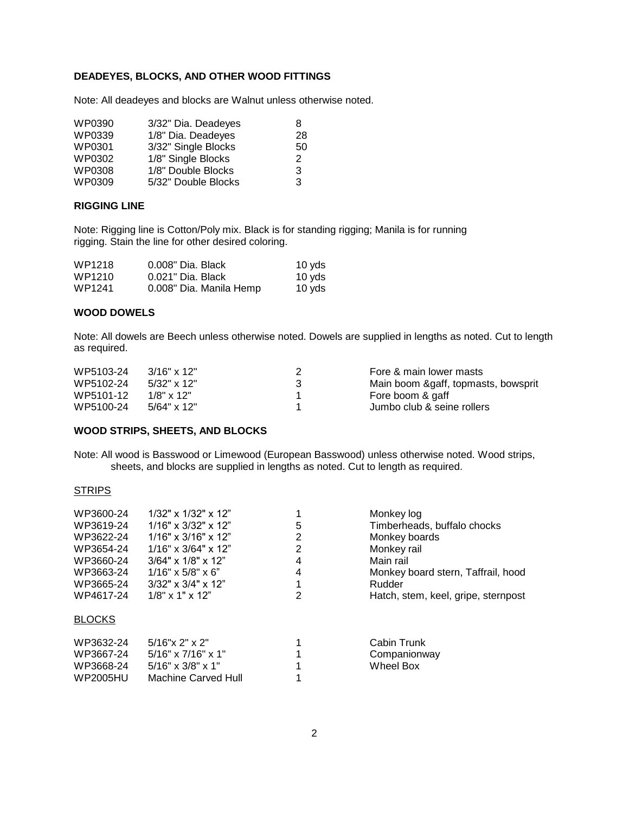#### **DEADEYES, BLOCKS, AND OTHER WOOD FITTINGS**

Note: All deadeyes and blocks are Walnut unless otherwise noted.

| WP0390 | 3/32" Dia. Deadeyes | 8  |
|--------|---------------------|----|
| WP0339 | 1/8" Dia. Deadeyes  | 28 |
| WP0301 | 3/32" Single Blocks | 50 |
| WP0302 | 1/8" Single Blocks  | 2  |
| WP0308 | 1/8" Double Blocks  | 3  |
| WP0309 | 5/32" Double Blocks | 3  |

#### **RIGGING LINE**

Note: Rigging line is Cotton/Poly mix. Black is for standing rigging; Manila is for running rigging. Stain the line for other desired coloring.

| WP1218 | 0.008" Dia. Black       | 10 yds |
|--------|-------------------------|--------|
| WP1210 | 0.021" Dia. Black       | 10 yds |
| WP1241 | 0.008" Dia. Manila Hemp | 10 yds |

#### **WOOD DOWELS**

Note: All dowels are Beech unless otherwise noted. Dowels are supplied in lengths as noted. Cut to length as required.

| WP5103-24 | $3/16" \times 12"$ | Fore & main lower masts             |
|-----------|--------------------|-------------------------------------|
| WP5102-24 | $5/32" \times 12"$ | Main boom &gaff, topmasts, bowsprit |
| WP5101-12 | $1/8" \times 12"$  | Fore boom & gaff                    |
| WP5100-24 | $5/64$ " x 12"     | Jumbo club & seine rollers          |

#### **WOOD STRIPS, SHEETS, AND BLOCKS**

Note: All wood is Basswood or Limewood (European Basswood) unless otherwise noted. Wood strips, sheets, and blocks are supplied in lengths as noted. Cut to length as required.

#### **STRIPS**

| WP3600-24<br>WP3619-24<br>WP3622-24<br>WP3654-24<br>WP3660-24<br>WP3663-24<br>WP3665-24<br>WP4617-24 | $1/32$ " x $1/32$ " x $12$ "<br>$1/16" \times 3/32" \times 12"$<br>$1/16" \times 3/16" \times 12"$<br>$1/16" \times 3/64" \times 12"$<br>$3/64" \times 1/8" \times 12"$<br>$1/16" \times 5/8" \times 6"$<br>$3/32$ " x $3/4$ " x $12$ "<br>$1/8$ " x 1" x 12" | 5<br>2<br>2<br>4<br>4<br>1<br>2 | Monkey log<br>Timberheads, buffalo chocks<br>Monkey boards<br>Monkey rail<br>Main rail<br>Monkey board stern, Taffrail, hood<br>Rudder<br>Hatch, stem, keel, gripe, sternpost |
|------------------------------------------------------------------------------------------------------|---------------------------------------------------------------------------------------------------------------------------------------------------------------------------------------------------------------------------------------------------------------|---------------------------------|-------------------------------------------------------------------------------------------------------------------------------------------------------------------------------|
| <b>BLOCKS</b>                                                                                        |                                                                                                                                                                                                                                                               |                                 |                                                                                                                                                                               |
| WP3632-24<br>WP3667-24<br>WP3668-24<br>WP2005HU                                                      | $5/16"$ x 2" x 2"<br>$5/16" \times 7/16" \times 1"$<br>$5/16" \times 3/8" \times 1"$<br>Machine Carved Hull                                                                                                                                                   |                                 | Cabin Trunk<br>Companionway<br>Wheel Box                                                                                                                                      |